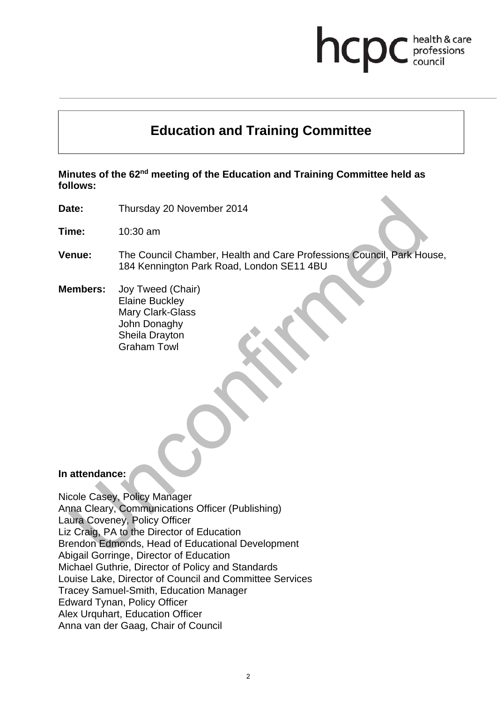# hcp health & care professions<br>council

# **Education and Training Committee**

**Minutes of the 62nd meeting of the Education and Training Committee held as follows:** 

**Date:** Thursday 20 November 2014

**Time:** 10:30 am

**Venue:** The Council Chamber, Health and Care Professions Council, Park House, 184 Kennington Park Road, London SE11 4BU

**Members:** Joy Tweed (Chair) Elaine Buckley Mary Clark-Glass John Donaghy Sheila Drayton Graham Towl

#### **In attendance:**

Nicole Casey, Policy Manager Anna Cleary, Communications Officer (Publishing) Laura Coveney, Policy Officer Liz Craig, PA to the Director of Education Brendon Edmonds, Head of Educational Development Abigail Gorringe, Director of Education Michael Guthrie, Director of Policy and Standards Louise Lake, Director of Council and Committee Services Tracey Samuel-Smith, Education Manager Edward Tynan, Policy Officer Alex Urquhart, Education Officer Anna van der Gaag, Chair of Council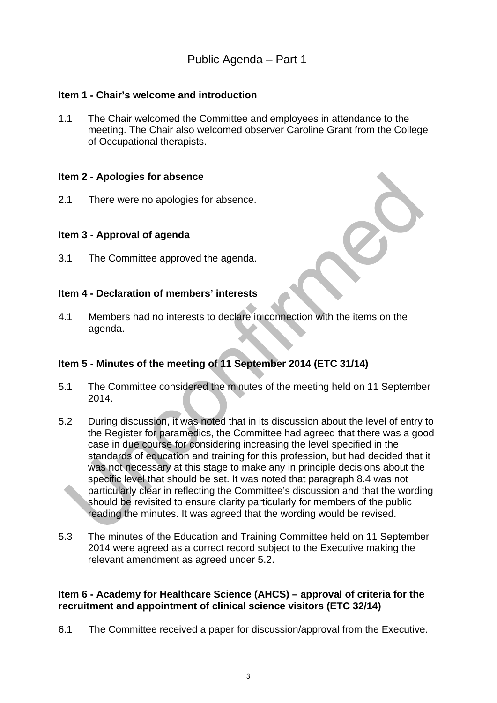# **Item 1 - Chair's welcome and introduction**

1.1 The Chair welcomed the Committee and employees in attendance to the meeting. The Chair also welcomed observer Caroline Grant from the College of Occupational therapists.

#### **Item 2 - Apologies for absence**

2.1 There were no apologies for absence.

#### **Item 3 - Approval of agenda**

3.1 The Committee approved the agenda.

#### **Item 4 - Declaration of members' interests**

4.1 Members had no interests to declare in connection with the items on the agenda.

# **Item 5 - Minutes of the meeting of 11 September 2014 (ETC 31/14)**

- 5.1 The Committee considered the minutes of the meeting held on 11 September 2014.
- 5.2 During discussion, it was noted that in its discussion about the level of entry to the Register for paramedics, the Committee had agreed that there was a good case in due course for considering increasing the level specified in the standards of education and training for this profession, but had decided that it was not necessary at this stage to make any in principle decisions about the specific level that should be set. It was noted that paragraph 8.4 was not particularly clear in reflecting the Committee's discussion and that the wording should be revisited to ensure clarity particularly for members of the public reading the minutes. It was agreed that the wording would be revised.
- 5.3 The minutes of the Education and Training Committee held on 11 September 2014 were agreed as a correct record subject to the Executive making the relevant amendment as agreed under 5.2.

#### **Item 6 - Academy for Healthcare Science (AHCS) – approval of criteria for the recruitment and appointment of clinical science visitors (ETC 32/14)**

6.1 The Committee received a paper for discussion/approval from the Executive.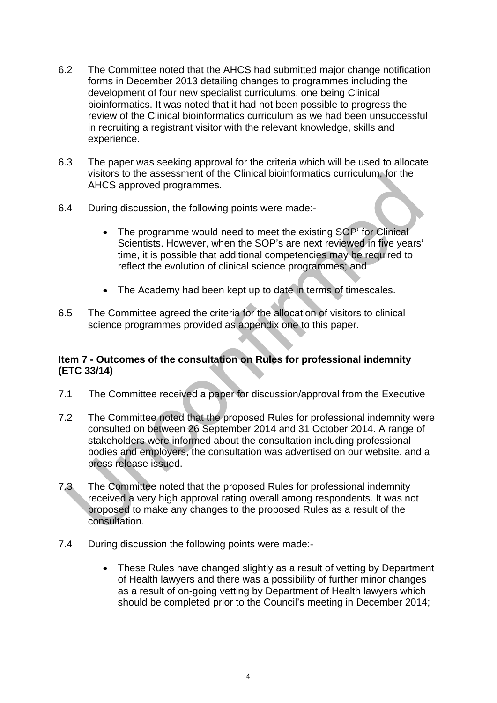- 6.2 The Committee noted that the AHCS had submitted major change notification forms in December 2013 detailing changes to programmes including the development of four new specialist curriculums, one being Clinical bioinformatics. It was noted that it had not been possible to progress the review of the Clinical bioinformatics curriculum as we had been unsuccessful in recruiting a registrant visitor with the relevant knowledge, skills and experience.
- 6.3 The paper was seeking approval for the criteria which will be used to allocate visitors to the assessment of the Clinical bioinformatics curriculum, for the AHCS approved programmes.
- 6.4 During discussion, the following points were made:-
	- The programme would need to meet the existing SOP' for Clinical Scientists. However, when the SOP's are next reviewed in five years' time, it is possible that additional competencies may be required to reflect the evolution of clinical science programmes; and
	- The Academy had been kept up to date in terms of timescales.
- 6.5 The Committee agreed the criteria for the allocation of visitors to clinical science programmes provided as appendix one to this paper.

## **Item 7 - Outcomes of the consultation on Rules for professional indemnity (ETC 33/14)**

- 7.1 The Committee received a paper for discussion/approval from the Executive
- 7.2 The Committee noted that the proposed Rules for professional indemnity were consulted on between 26 September 2014 and 31 October 2014. A range of stakeholders were informed about the consultation including professional bodies and employers, the consultation was advertised on our website, and a press release issued.
- 7.3 The Committee noted that the proposed Rules for professional indemnity received a very high approval rating overall among respondents. It was not proposed to make any changes to the proposed Rules as a result of the consultation.
- 7.4 During discussion the following points were made:-
	- These Rules have changed slightly as a result of vetting by Department of Health lawyers and there was a possibility of further minor changes as a result of on-going vetting by Department of Health lawyers which should be completed prior to the Council's meeting in December 2014;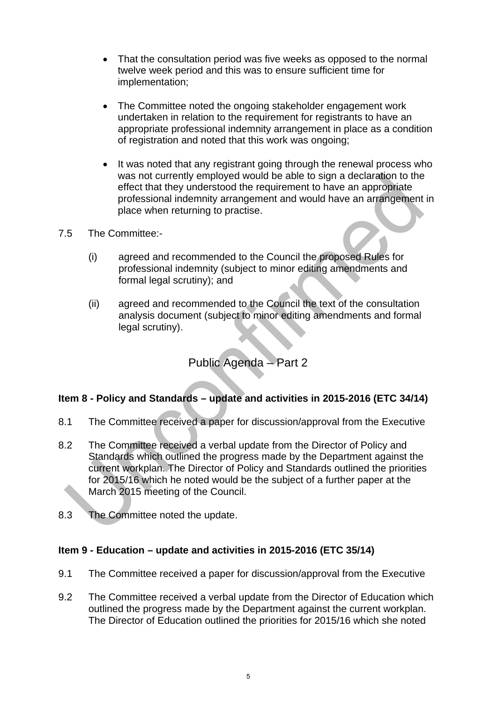- That the consultation period was five weeks as opposed to the normal twelve week period and this was to ensure sufficient time for implementation;
- The Committee noted the ongoing stakeholder engagement work undertaken in relation to the requirement for registrants to have an appropriate professional indemnity arrangement in place as a condition of registration and noted that this work was ongoing;
- It was noted that any registrant going through the renewal process who was not currently employed would be able to sign a declaration to the effect that they understood the requirement to have an appropriate professional indemnity arrangement and would have an arrangement in place when returning to practise.
- 7.5 The Committee:-
	- (i) agreed and recommended to the Council the proposed Rules for professional indemnity (subject to minor editing amendments and formal legal scrutiny); and
	- (ii) agreed and recommended to the Council the text of the consultation analysis document (subject to minor editing amendments and formal legal scrutiny).

# Public Agenda – Part 2

# **Item 8 - Policy and Standards – update and activities in 2015-2016 (ETC 34/14)**

- 8.1 The Committee received a paper for discussion/approval from the Executive
- 8.2 The Committee received a verbal update from the Director of Policy and Standards which outlined the progress made by the Department against the current workplan. The Director of Policy and Standards outlined the priorities for 2015/16 which he noted would be the subject of a further paper at the March 2015 meeting of the Council.
- 8.3 The Committee noted the update.

# **Item 9 - Education – update and activities in 2015-2016 (ETC 35/14)**

- 9.1 The Committee received a paper for discussion/approval from the Executive
- 9.2 The Committee received a verbal update from the Director of Education which outlined the progress made by the Department against the current workplan. The Director of Education outlined the priorities for 2015/16 which she noted